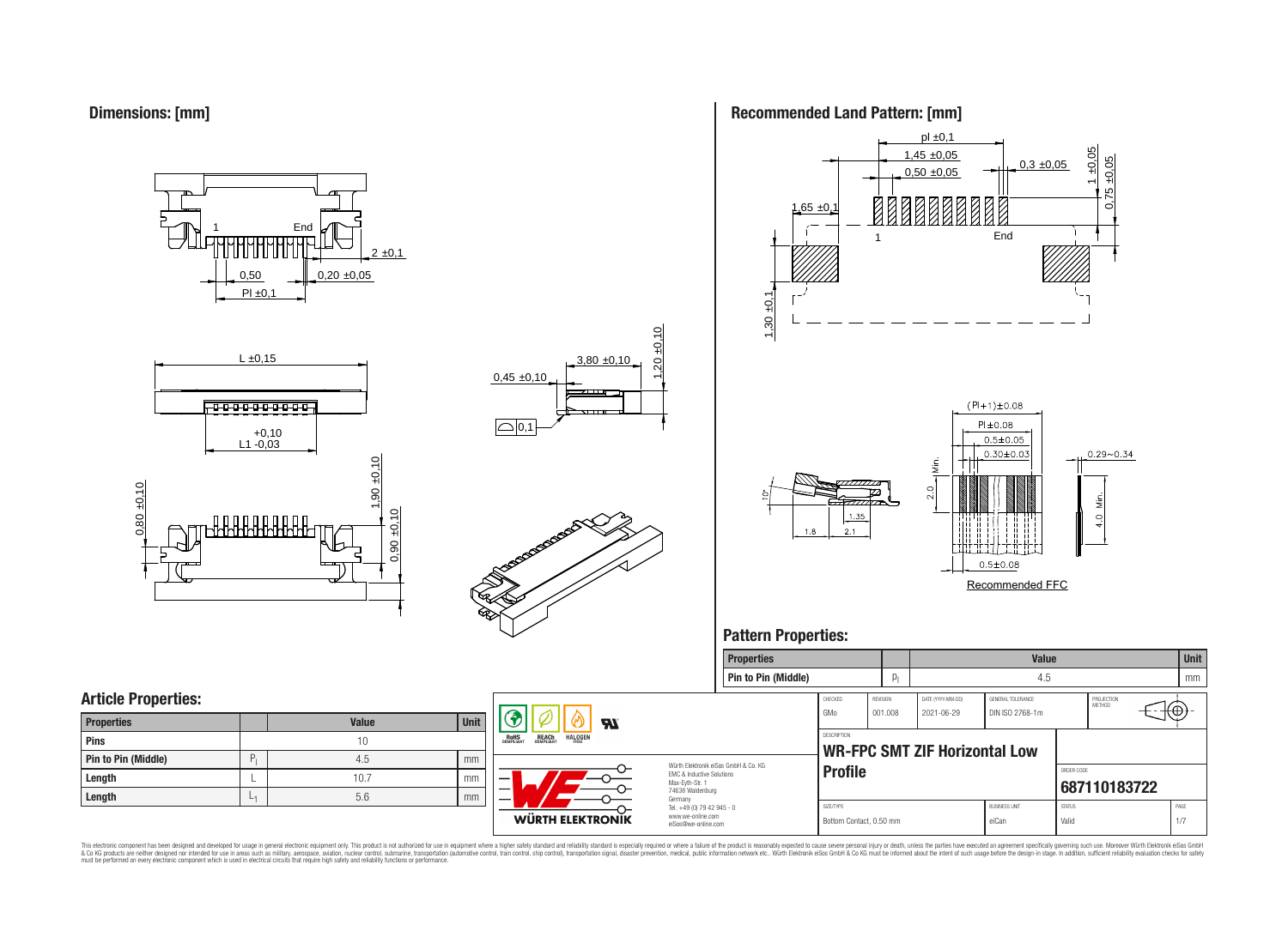**Dimensions: [mm]**

0,50  $PI \pm 0.1$  $0,20 \pm 0,05$  $2 \pm 0,1$ **End** 







### **Recommended Land Pattern: [mm]**



### **Pattern Properties:**



This electronic component has been designed and developed for usage in general electronic equipment only. This product is not authorized for use in equipment where a higher safely standard and reliability standard si espec & Ook product a label and the membed of the seasuch as marked and as which such a membed and the such assume that income in the seasuch and the simulation and the such assume that include to the such a membed and the such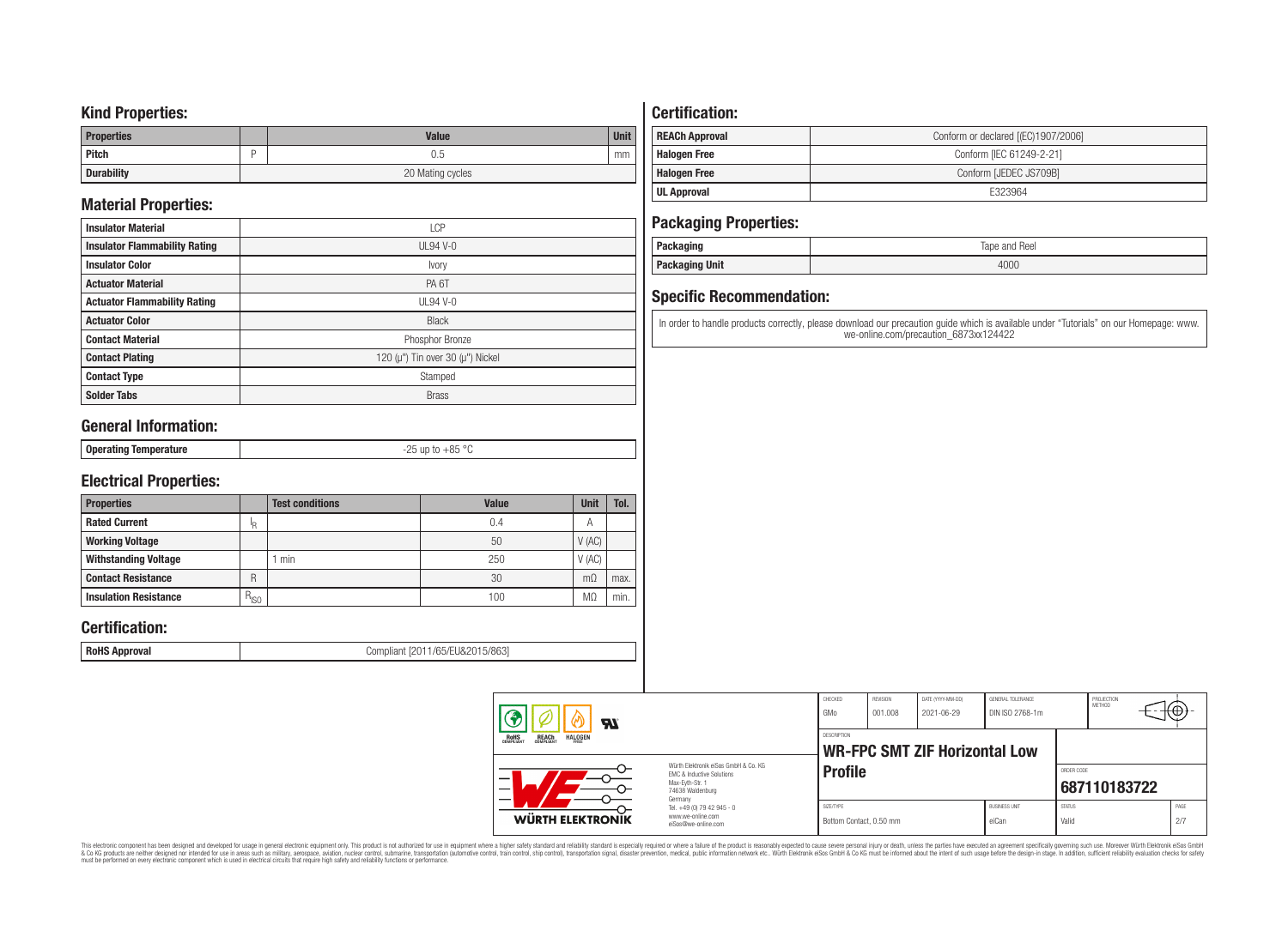### **Kind Properties:**

| <b>Properties</b> | <b>Value</b>     | <b>Unit</b> |  |  |  |
|-------------------|------------------|-------------|--|--|--|
| Pitch             | U.5              | mm          |  |  |  |
| <b>Durability</b> | 20 Mating cycles |             |  |  |  |

## **Material Properties:**

| <b>Insulator Material</b>            | <b>LCP</b>                                   |  |  |  |  |  |
|--------------------------------------|----------------------------------------------|--|--|--|--|--|
| <b>Insulator Flammability Rating</b> | $UL94V-0$                                    |  |  |  |  |  |
| <b>Insulator Color</b>               | Ivory                                        |  |  |  |  |  |
| <b>Actuator Material</b>             | PA <sub>6</sub> T                            |  |  |  |  |  |
| <b>Actuator Flammability Rating</b>  | $UL94V-0$                                    |  |  |  |  |  |
| <b>Actuator Color</b>                | <b>Black</b>                                 |  |  |  |  |  |
| <b>Contact Material</b>              | Phosphor Bronze                              |  |  |  |  |  |
| <b>Contact Plating</b>               | 120 ( $\mu$ ") Tin over 30 ( $\mu$ ") Nickel |  |  |  |  |  |
| <b>Contact Type</b>                  | Stamped                                      |  |  |  |  |  |
| <b>Solder Tabs</b>                   | <b>Brass</b>                                 |  |  |  |  |  |

## **General Information:**

| ~~<br>⊥ Oners<br>οE<br>eratind lembel.<br>nure<br>$v$ porusnig<br>and the control of the |
|------------------------------------------------------------------------------------------|
|------------------------------------------------------------------------------------------|

## **Electrical Properties:**

| <b>Properties</b>            |               | <b>Test conditions</b> | <b>Value</b> | <b>Unit</b>    | Tol. |
|------------------------------|---------------|------------------------|--------------|----------------|------|
| <b>Rated Current</b>         | ΙR            |                        | 0.4          | $\overline{A}$ |      |
| <b>Working Voltage</b>       |               |                        | 50           | V(AC)          |      |
| <b>Withstanding Voltage</b>  |               | min                    | 250          | V(AC)          |      |
| <b>Contact Resistance</b>    | R             |                        | 30           | $m\Omega$      | max. |
| <b>Insulation Resistance</b> | $R_{\mid SO}$ |                        | 100          | M.             | min. |

## **Certification:**

**RoHS Approval RoHS Approval Compliant** [2011/65/EU&2015/863]

## **Certification:**

| <b>REACh Approval</b> | Conform or declared [(EC)1907/2006] |  |  |  |  |  |  |
|-----------------------|-------------------------------------|--|--|--|--|--|--|
| <b>Halogen Free</b>   | Conform [IEC 61249-2-21]            |  |  |  |  |  |  |
| <b>Halogen Free</b>   | Conform [JEDEC JS709B]              |  |  |  |  |  |  |
| UL Approval           | F323964                             |  |  |  |  |  |  |

## **Packaging Properties:**

| . aundyniy                | Reel<br>lape<br>and |
|---------------------------|---------------------|
| <b>Unit</b><br>rackayılıy | 4000                |

## **Specific Recommendation:**

In order to handle products correctly, please download our precaution guide which is available under "Tutorials" on our Homepage: www. we-online.com/precaution\_6873xx124422

| Яï                                                                                                                                                                                |                                                                        | CHECKED<br>GMo                       | REVISION<br>001.008 | DATE (YYYY-MM-DD)<br>2021-06-29      | GENERAL TOLERANCE<br>DIN ISO 2768-1m |                        | PROJECTION<br>METHOD | ⊤t⊕∗        |
|-----------------------------------------------------------------------------------------------------------------------------------------------------------------------------------|------------------------------------------------------------------------|--------------------------------------|---------------------|--------------------------------------|--------------------------------------|------------------------|----------------------|-------------|
| <b>ROHS</b><br><b>REACH</b><br>COMPLIANT<br><b>HALOGEN</b><br>Würth Elektronik eiSos GmbH & Co. KG<br>EMC & Inductive Solutions<br>Max-Evth-Str. 1<br>74638 Waldenburg<br>Germany |                                                                        | <b>DESCRIPTION</b>                   |                     | <b>WR-FPC SMT ZIF Horizontal Low</b> |                                      |                        |                      |             |
|                                                                                                                                                                                   |                                                                        | <b>Profile</b>                       |                     |                                      |                                      | ORDER CODE             | 687110183722         |             |
| WÜRTH ELEKTRONIK                                                                                                                                                                  | Tel. +49 (0) 79 42 945 - 0<br>www.we-online.com<br>eiSos@we-online.com | SIZE/TYPE<br>Bottom Contact, 0.50 mm |                     |                                      | <b>BUSINESS UNIT</b><br>eiCan        | <b>STATUS</b><br>Valid |                      | PAGE<br>2/7 |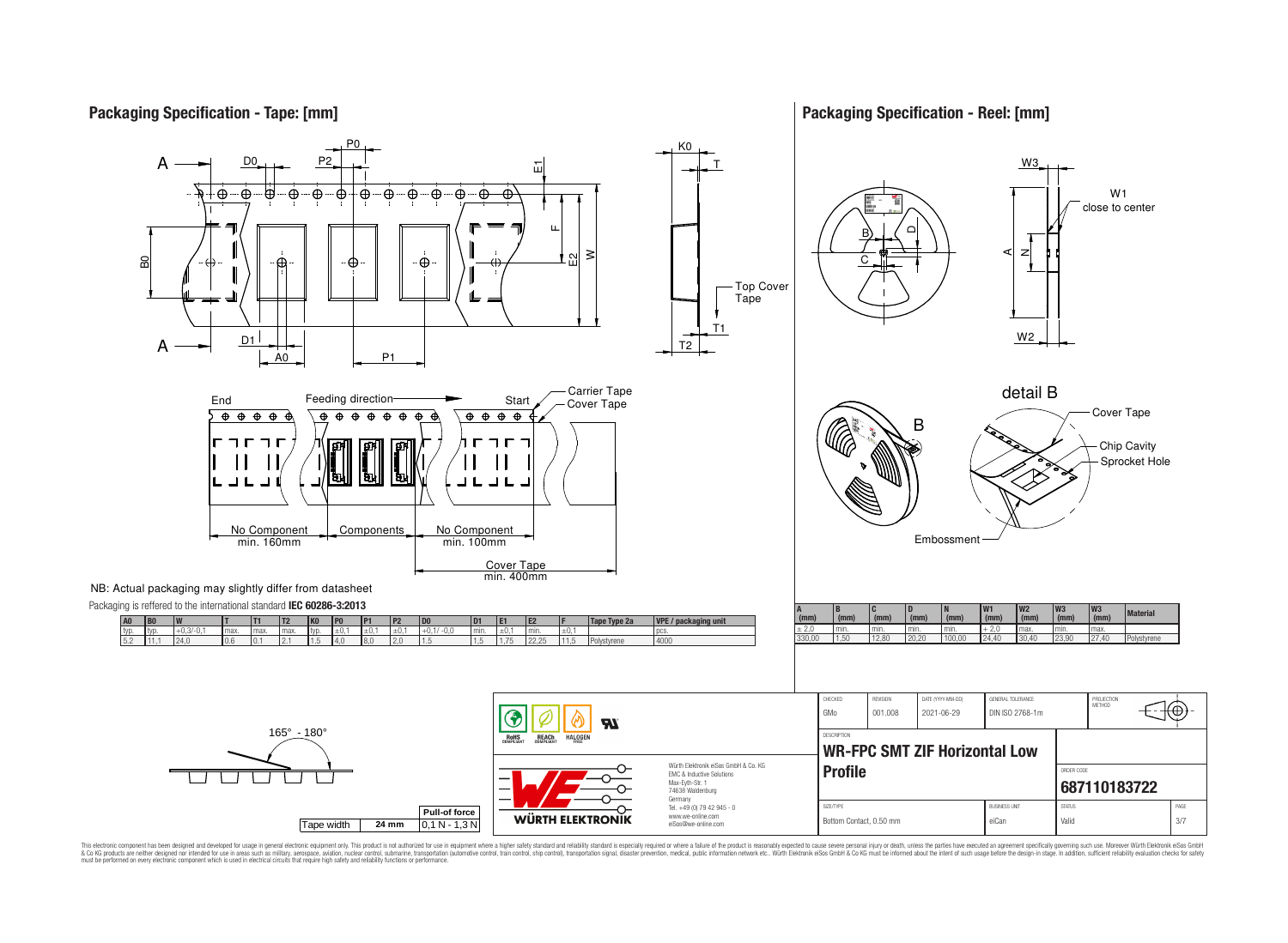## **Packaging Specification - Tape: [mm]**

**Packaging Specification - Reel: [mm]**

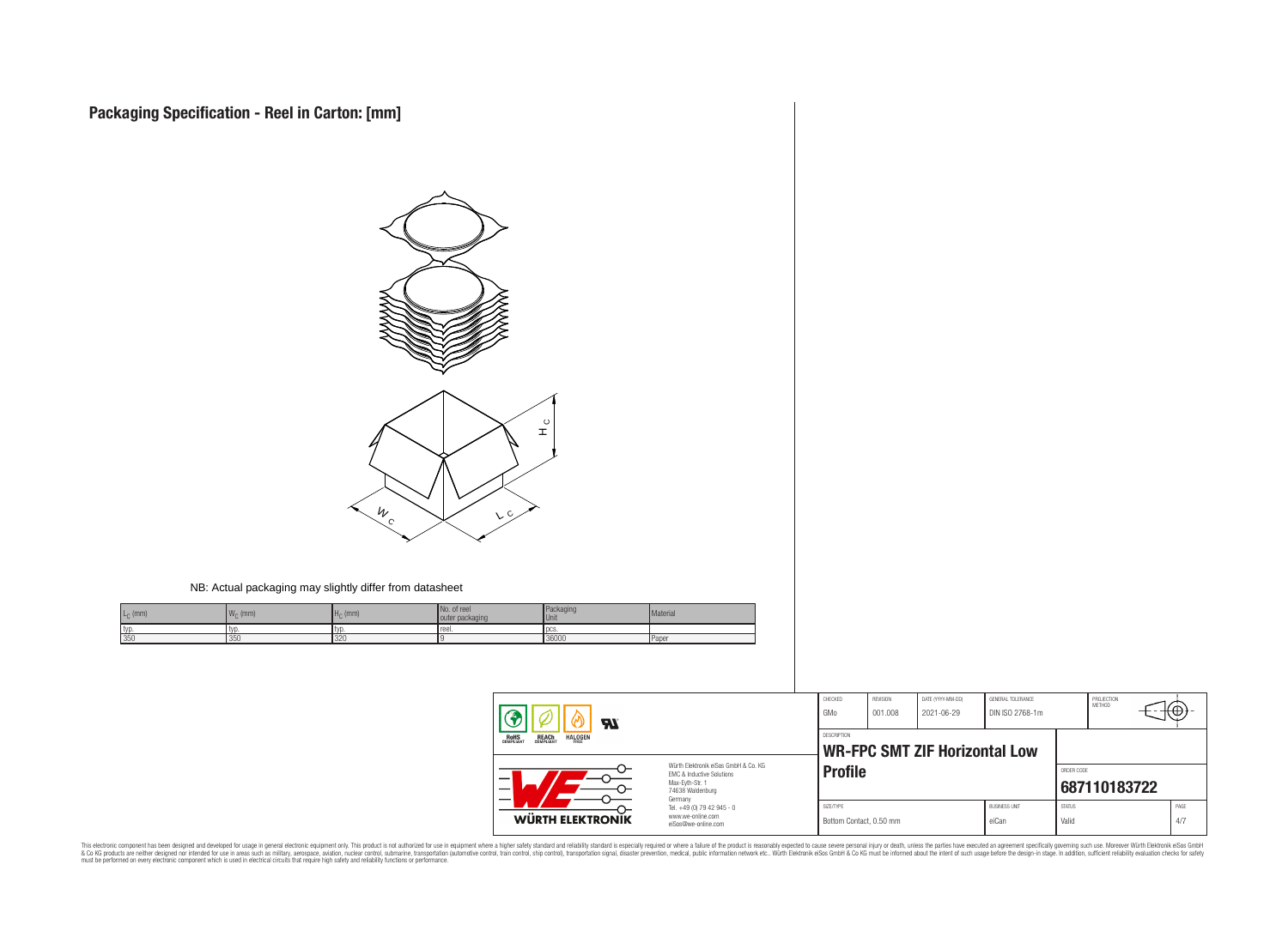

#### NB: Actual packaging may slightly differ from datasheet

| $L_C$ (mm) | 144<br>$W_C$ (mm) | $H0$ (mm) | No. of ree<br>outer packaging | Packaging<br><b>Unit</b> | Material |
|------------|-------------------|-----------|-------------------------------|--------------------------|----------|
| typ        | typ               |           | reel.                         | <b>DCS</b>               |          |
| 350        | 1350              | 320       |                               | 36000                    | Paper    |

| <b>RI</b><br><b>REACH</b><br>COMPLIANT<br><b>HALOGEN</b><br><b>ROHS</b><br>COMPLIANT<br>Würth Elektronik eiSos GmbH & Co. KG<br>EMC & Inductive Solutions<br>–<br>Max-Evth-Str. 1<br>74638 Waldenburg<br>Germany |                                                                        | CHECKED<br>GMo                               | REVISION<br>001.008 | DATE (YYYY-MM-DD)<br>2021-06-29 | GENERAL TOLERANCE<br>DIN ISO 2768-1m |                        | PROJECTION<br><b>METHOD</b> | ₩Œ          |
|------------------------------------------------------------------------------------------------------------------------------------------------------------------------------------------------------------------|------------------------------------------------------------------------|----------------------------------------------|---------------------|---------------------------------|--------------------------------------|------------------------|-----------------------------|-------------|
|                                                                                                                                                                                                                  |                                                                        | DESCRIPTION<br>WR-FPC SMT ZIF Horizontal Low |                     |                                 |                                      |                        |                             |             |
|                                                                                                                                                                                                                  |                                                                        | <b>Profile</b>                               |                     |                                 |                                      | ORDER CODE             | 687110183722                |             |
| WÜRTH ELEKTRONIK                                                                                                                                                                                                 | Tel. +49 (0) 79 42 945 - 0<br>www.we-online.com<br>eiSos@we-online.com | SIZE/TYPE<br>Bottom Contact, 0.50 mm         |                     |                                 | <b>BUSINESS UNIT</b><br>eiCan        | <b>STATUS</b><br>Valid |                             | PAGE<br>4/7 |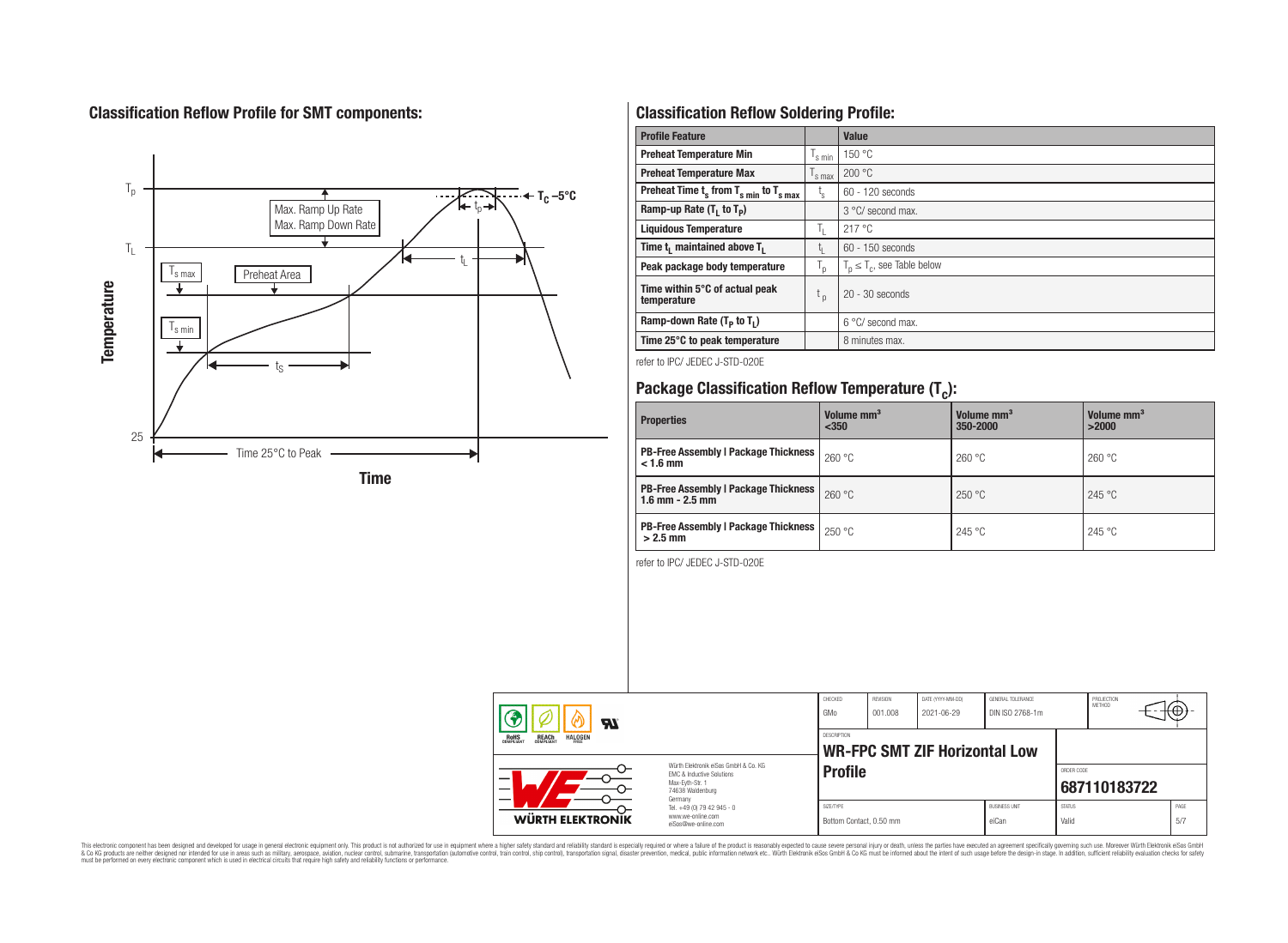## **Classification Reflow Profile for SMT components:**



## **Classification Reflow Soldering Profile:**

| <b>Profile Feature</b>                              |                    | Value                            |
|-----------------------------------------------------|--------------------|----------------------------------|
| <b>Preheat Temperature Min</b>                      | $\frac{1}{s}$ min  | 150 °C                           |
| <b>Preheat Temperature Max</b>                      | $\mathsf{I}$ s max | 200 °C                           |
| Preheat Time $t_s$ from $T_{s min}$ to $T_{s max}$  | t,                 | $60 - 120$ seconds               |
| Ramp-up Rate $(T_1$ to $T_p$ )                      |                    | $3^{\circ}$ C/ second max.       |
| <b>Liquidous Temperature</b>                        | T,                 | 217 °C                           |
| Time t <sub>i</sub> maintained above T <sub>1</sub> | t,                 | 60 - 150 seconds                 |
| Peak package body temperature                       | T <sub>o</sub>     | $T_p \leq T_c$ , see Table below |
| Time within 5°C of actual peak<br>temperature       | $t_{p}$            | $20 - 30$ seconds                |
| Ramp-down Rate $(T_p$ to $T_1$ )                    |                    | $6^{\circ}$ C/ second max.       |
| Time 25°C to peak temperature                       |                    | 8 minutes max.                   |

refer to IPC/ JEDEC J-STD-020E

# **Package Classification Reflow Temperature (T<sup>c</sup> ):**

| <b>Properties</b>                                                    | Volume mm <sup>3</sup><br>$350$ | Volume mm <sup>3</sup><br>350-2000 | Volume mm <sup>3</sup><br>>2000 |
|----------------------------------------------------------------------|---------------------------------|------------------------------------|---------------------------------|
| <b>PB-Free Assembly   Package Thickness  </b><br>$< 1.6$ mm          | 260 °C                          | 260 °C                             | 260 °C                          |
| <b>PB-Free Assembly   Package Thickness  </b><br>$1.6$ mm $- 2.5$ mm | 260 °C                          | 250 °C                             | 245 °C                          |
| <b>PB-Free Assembly   Package Thickness  </b><br>$>2.5$ mm           | 250 °C                          | 245 °C                             | 245 °C                          |

refer to IPC/ JEDEC J-STD-020E

| ЯI                                                                                                                                                                                                              |                                                                        | CHECKED<br>GMo                       | <b>REVISION</b><br>001.008 | DATE (YYYY-MM-DD)<br>2021-06-29      | <b>GENERAL TOLERANCE</b><br>DIN ISO 2768-1m |                        | PROJECTION<br><b>METHOD</b> | ₩           |  |
|-----------------------------------------------------------------------------------------------------------------------------------------------------------------------------------------------------------------|------------------------------------------------------------------------|--------------------------------------|----------------------------|--------------------------------------|---------------------------------------------|------------------------|-----------------------------|-------------|--|
| REACH<br>COMPLIANT<br><b>HALOGEN</b><br><b>ROHS</b><br>COMPLIANT<br>FRFF<br>Würth Flektronik eiSos GmbH & Co. KG<br><b>EMC &amp; Inductive Solutions</b><br>-<br>Max-Eyth-Str. 1<br>74638 Waldenburg<br>Germany |                                                                        | <b>DESCRIPTION</b>                   |                            | <b>WR-FPC SMT ZIF Horizontal Low</b> |                                             |                        |                             |             |  |
|                                                                                                                                                                                                                 |                                                                        | <b>Profile</b>                       |                            |                                      |                                             | ORDER CODE             | 687110183722                |             |  |
| <b>WÜRTH ELEKTRONIK</b>                                                                                                                                                                                         | Tel. +49 (0) 79 42 945 - 0<br>www.we-online.com<br>eiSos@we-online.com | SIZE/TYPE<br>Bottom Contact, 0.50 mm |                            |                                      | <b>BUSINESS UNIT</b><br>eiCan               | <b>STATUS</b><br>Valid |                             | PAGE<br>5/7 |  |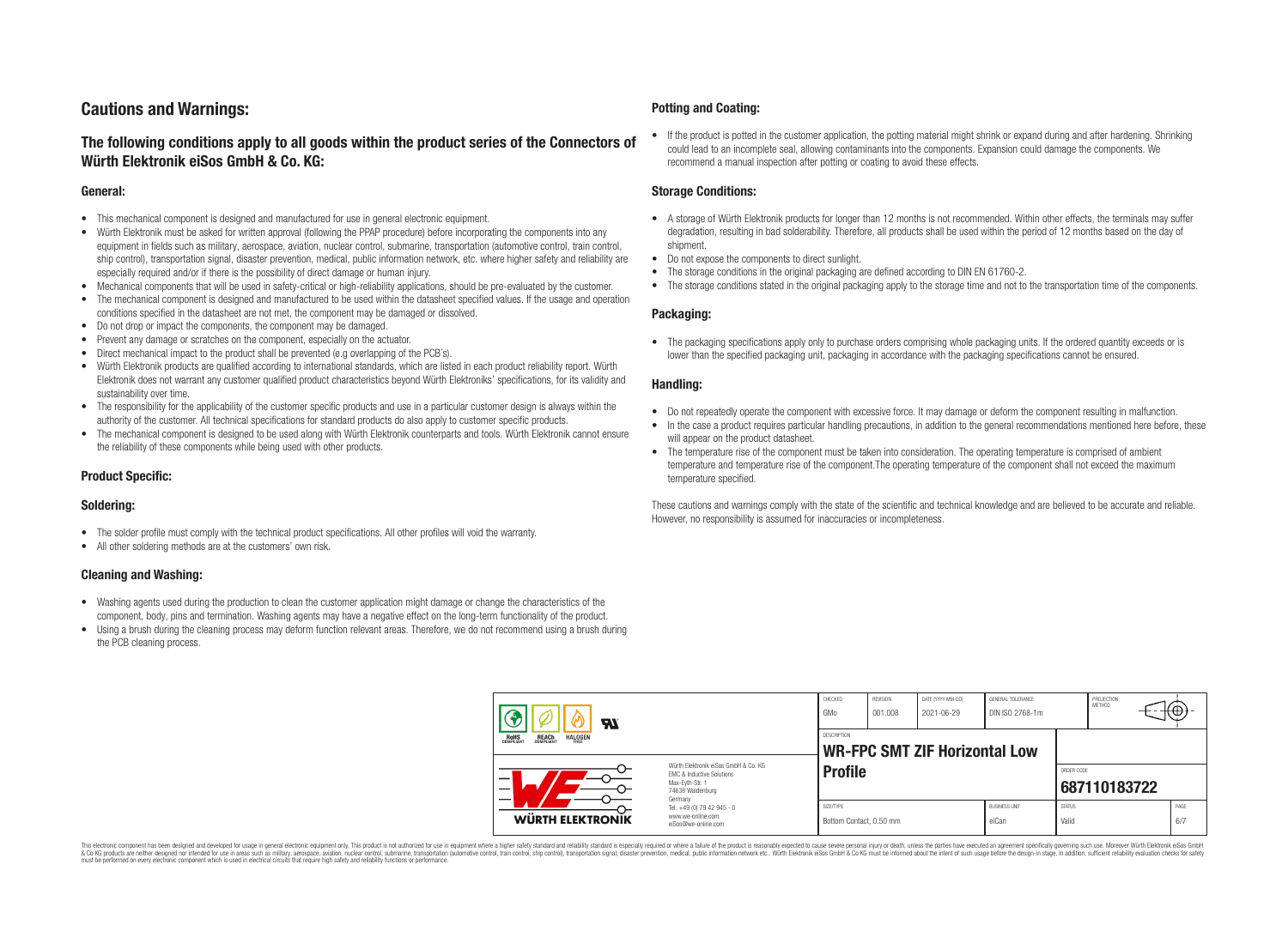## **Cautions and Warnings:**

### **The following conditions apply to all goods within the product series of the Connectors of Würth Elektronik eiSos GmbH & Co. KG:**

#### **General:**

- This mechanical component is designed and manufactured for use in general electronic equipment.
- Würth Elektronik must be asked for written approval (following the PPAP procedure) before incorporating the components into any equipment in fields such as military, aerospace, aviation, nuclear control, submarine, transportation (automotive control, train control, ship control), transportation signal, disaster prevention, medical, public information network, etc. where higher safety and reliability are especially required and/or if there is the possibility of direct damage or human injury.
- Mechanical components that will be used in safety-critical or high-reliability applications, should be pre-evaluated by the customer.
- The mechanical component is designed and manufactured to be used within the datasheet specified values. If the usage and operation conditions specified in the datasheet are not met, the component may be damaged or dissolved.
- Do not drop or impact the components, the component may be damaged.
- Prevent any damage or scratches on the component, especially on the actuator.
- Direct mechanical impact to the product shall be prevented (e.g overlapping of the PCB's).
- Würth Elektronik products are qualified according to international standards, which are listed in each product reliability report. Würth Elektronik does not warrant any customer qualified product characteristics beyond Würth Elektroniks' specifications, for its validity and sustainability over time.
- The responsibility for the applicability of the customer specific products and use in a particular customer design is always within the authority of the customer. All technical specifications for standard products do also apply to customer specific products.
- The mechanical component is designed to be used along with Würth Elektronik counterparts and tools. Würth Elektronik cannot ensure the reliability of these components while being used with other products.

#### **Product Specific:**

#### **Soldering:**

- The solder profile must comply with the technical product specifications. All other profiles will void the warranty.
- All other soldering methods are at the customers' own risk.

#### **Cleaning and Washing:**

- Washing agents used during the production to clean the customer application might damage or change the characteristics of the component, body, pins and termination. Washing agents may have a negative effect on the long-term functionality of the product.
- Using a brush during the cleaning process may deform function relevant areas. Therefore, we do not recommend using a brush during the PCB cleaning process.

#### **Potting and Coating:**

• If the product is potted in the customer application, the potting material might shrink or expand during and after hardening. Shrinking could lead to an incomplete seal, allowing contaminants into the components. Expansion could damage the components. We recommend a manual inspection after potting or coating to avoid these effects.

#### **Storage Conditions:**

- A storage of Würth Elektronik products for longer than 12 months is not recommended. Within other effects, the terminals may suffer degradation, resulting in bad solderability. Therefore, all products shall be used within the period of 12 months based on the day of shipment.
- Do not expose the components to direct sunlight.
- The storage conditions in the original packaging are defined according to DIN EN 61760-2.
- The storage conditions stated in the original packaging apply to the storage time and not to the transportation time of the components.

#### **Packaging:**

• The packaging specifications apply only to purchase orders comprising whole packaging units. If the ordered quantity exceeds or is lower than the specified packaging unit, packaging in accordance with the packaging specifications cannot be ensured.

#### **Handling:**

- Do not repeatedly operate the component with excessive force. It may damage or deform the component resulting in malfunction.
- In the case a product requires particular handling precautions, in addition to the general recommendations mentioned here before, these will appear on the product datasheet
- The temperature rise of the component must be taken into consideration. The operating temperature is comprised of ambient temperature and temperature rise of the component.The operating temperature of the component shall not exceed the maximum temperature specified.

These cautions and warnings comply with the state of the scientific and technical knowledge and are believed to be accurate and reliable. However, no responsibility is assumed for inaccuracies or incompleteness.

| Яľ<br><b>REACH</b><br>COMPLIANT<br><b>HALOGEN</b><br><b>ROHS</b><br>COMPLIANT |                                                                                                                     | CHECKED<br>GMo                                             | REVISION<br>001.008 | DATE (YYYY-MM-DD)<br>2021-06-29 | GENERAL TOLERANCE<br>DIN ISO 2768-1m |                            | PROJECTION<br><b>METHOD</b> | ч⊕,  |     |
|-------------------------------------------------------------------------------|---------------------------------------------------------------------------------------------------------------------|------------------------------------------------------------|---------------------|---------------------------------|--------------------------------------|----------------------------|-----------------------------|------|-----|
|                                                                               |                                                                                                                     | <b>DESCRIPTION</b><br><b>WR-FPC SMT ZIF Horizontal Low</b> |                     |                                 |                                      |                            |                             |      |     |
|                                                                               | Würth Flektronik eiSos GmbH & Co. KG<br>FMC & Inductive Solutions<br>Max-Evth-Str. 1<br>74638 Waldenburg<br>Germany | <b>Profile</b>                                             |                     |                                 |                                      | ORDER CODE<br>687110183722 |                             |      |     |
| <b>WÜRTH ELEKTRONIK</b>                                                       | Tel. +49 (0) 79 42 945 - 0<br>www.we-online.com<br>eiSos@we-online.com                                              | SIZE/TYPE<br>Bottom Contact, 0.50 mm                       |                     |                                 | <b>BUSINESS UNIT</b><br>eiCan        | <b>STATUS</b><br>Valid     |                             | PAGE | 6/7 |

This electronic component has been designed and developed for usage in general electronic equipment only. This product is not authorized for use in equipment where a higher safety standard and reliability standard si espec & Ook product a label and the membed of the seasuch as marked and as which such a membed and the such assume that income in the seasuch and the simulation and the such assume that include to the such a membed and the such